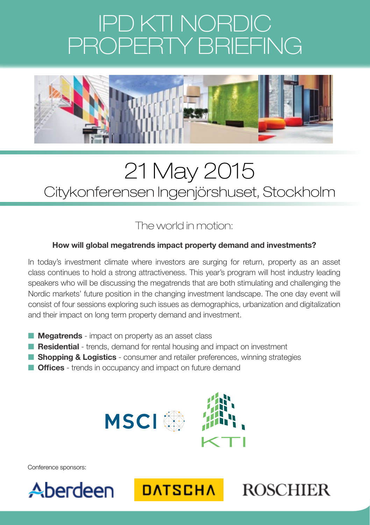# IPD KTI NORDIC PROPERTY BRIEFING



### 21 May 2015 Citykonferensen Ingenjörshuset, Stockholm

### The world in motion:

#### **How will global megatrends impact property demand and investments?**

In today's investment climate where investors are surging for return, property as an asset class continues to hold a strong attractiveness. This year's program will host industry leading speakers who will be discussing the megatrends that are both stimulating and challenging the Nordic markets' future position in the changing investment landscape. The one day event will consist of four sessions exploring such issues as demographics, urbanization and digitalization and their impact on long term property demand and investment.

- **n Megatrends** impact on property as an asset class
- **Residential** trends, demand for rental housing and impact on investment
- **n Shopping & Logistics** consumer and retailer preferences, winning strategies
- **n Offices** trends in occupancy and impact on future demand



Conference sponsors:





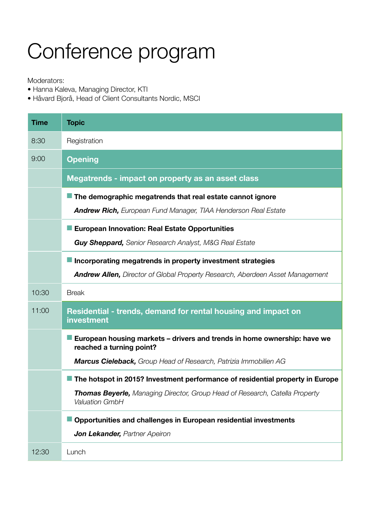## Conference program

#### Moderators:

- Hanna Kaleva, Managing Director, KTI
- Håvard Bjorå, Head of Client Consultants Nordic, MSCI

| <b>Time</b> | <b>Topic</b>                                                                                         |
|-------------|------------------------------------------------------------------------------------------------------|
| 8:30        | Registration                                                                                         |
| 9:00        | <b>Opening</b>                                                                                       |
|             | Megatrends - impact on property as an asset class                                                    |
|             | $\blacksquare$ The demographic megatrends that real estate cannot ignore                             |
|             | <b>Andrew Rich, European Fund Manager, TIAA Henderson Real Estate</b>                                |
|             | European Innovation: Real Estate Opportunities                                                       |
|             | <b>Guy Sheppard,</b> Senior Research Analyst, M&G Real Estate                                        |
|             | Incorporating megatrends in property investment strategies                                           |
|             | Andrew Allen, Director of Global Property Research, Aberdeen Asset Management                        |
| 10:30       | <b>Break</b>                                                                                         |
| 11:00       | Residential - trends, demand for rental housing and impact on<br>investment                          |
|             | European housing markets – drivers and trends in home ownership: have we<br>reached a turning point? |
|             | Marcus Cieleback, Group Head of Research, Patrizia Immobilien AG                                     |
|             | The hotspot in 2015? Investment performance of residential property in Europe                        |
|             | <b>Thomas Beyerle, Managing Director, Group Head of Research, Catella Property</b><br>Valuation GmbH |
|             | Opportunities and challenges in European residential investments                                     |
|             | <b>Jon Lekander, Partner Apeiron</b>                                                                 |
| 12:30       | Lunch                                                                                                |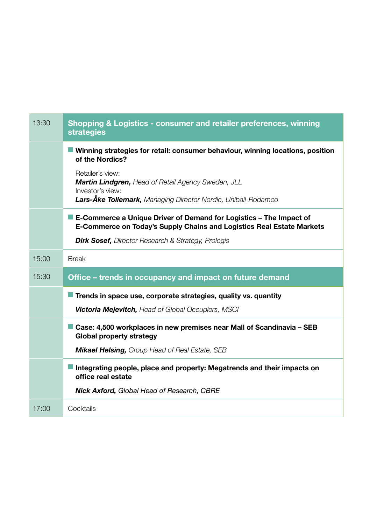| 13:30 | Shopping & Logistics - consumer and retailer preferences, winning<br><b>strategies</b>                                                        |
|-------|-----------------------------------------------------------------------------------------------------------------------------------------------|
|       | Winning strategies for retail: consumer behaviour, winning locations, position<br>of the Nordics?                                             |
|       | Retailer's view:<br><b>Martin Lindgren, Head of Retail Agency Sweden, JLL</b><br>Investor's view:                                             |
|       | Lars-Äke Tollemark, Managing Director Nordic, Unibail-Rodamco                                                                                 |
|       | ■ E-Commerce a Unique Driver of Demand for Logistics – The Impact of<br>E-Commerce on Today's Supply Chains and Logistics Real Estate Markets |
|       | <b>Dirk Sosef, Director Research &amp; Strategy, Prologis</b>                                                                                 |
| 15:00 | <b>Break</b>                                                                                                                                  |
|       |                                                                                                                                               |
| 15:30 | Office – trends in occupancy and impact on future demand                                                                                      |
|       | Trends in space use, corporate strategies, quality vs. quantity                                                                               |
|       | <b>Victoria Mejevitch, Head of Global Occupiers, MSCI</b>                                                                                     |
|       | Case: 4,500 workplaces in new premises near Mall of Scandinavia - SEB<br>Global property strategy                                             |
|       | <b>Mikael Helsing, Group Head of Real Estate, SEB</b>                                                                                         |
|       | Integrating people, place and property: Megatrends and their impacts on<br>office real estate                                                 |
|       | <b>Nick Axford, Global Head of Research, CBRE</b>                                                                                             |